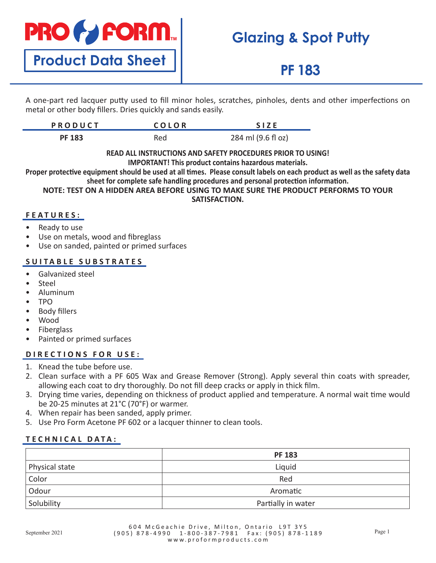

**Product Data Sheet**

# **Glazing & Spot Putty**

## **PF 183**

A one-part red lacquer putty used to fill minor holes, scratches, pinholes, dents and other imperfections on metal or other body fillers. Dries quickly and sands easily.

| <b>PRODUCT</b> | COLOR | <b>SIZE</b>        |
|----------------|-------|--------------------|
| <b>PF 183</b>  | Red   | 284 ml (9.6 fl oz) |

**READ ALL INSTRUCTIONS AND SAFETY PROCEDURES PRIOR TO USING! IMPORTANT! This product contains hazardous materials.**

**Proper protective equipment should be used at all times. Please consult labels on each product as well as the safety data sheet for complete safe handling procedures and personal protection information.**

**NOTE: TEST ON A HIDDEN AREA BEFORE USING TO MAKE SURE THE PRODUCT PERFORMS TO YOUR SATISFACTION.**

### **FEATURES:**

- Ready to use
- Use on metals, wood and fibreglass
- Use on sanded, painted or primed surfaces

### **SUITABLE SUBSTRATES**

- Galvanized steel
- **Steel**
- Aluminum
- TPO
- Body fillers
- Wood
- **Fiberglass**
- Painted or primed surfaces

## **DIRECTIONS FOR USE:**

- 1. Knead the tube before use.
- 2. Clean surface with a PF 605 Wax and Grease Remover (Strong). Apply several thin coats with spreader, allowing each coat to dry thoroughly. Do not fill deep cracks or apply in thick film.
- 3. Drying time varies, depending on thickness of product applied and temperature. A normal wait time would be 20-25 minutes at 21°C (70°F) or warmer.
- 4. When repair has been sanded, apply primer.
- 5. Use Pro Form Acetone PF 602 or a lacquer thinner to clean tools.

## **T ECHNICAL DATA:**

|                | <b>PF 183</b>      |
|----------------|--------------------|
| Physical state | Liquid             |
| Color          | Red                |
| Odour          | Aromatic           |
| Solubility     | Partially in water |